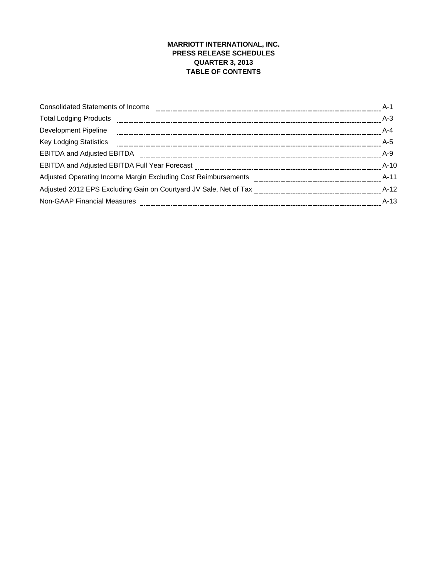# **MARRIOTT INTERNATIONAL, INC. PRESS RELEASE SCHEDULES QUARTER 3, 2013 TABLE OF CONTENTS**

| <b>Consolidated Statements of Income</b>                       | A-1    |
|----------------------------------------------------------------|--------|
| <b>Total Lodging Products</b>                                  | $A-3$  |
| Development Pipeline                                           | A-4    |
| <b>Key Lodging Statistics</b>                                  | A-5    |
| <b>EBITDA and Adjusted EBITDA</b>                              | $A-9$  |
|                                                                | $A-10$ |
| Adjusted Operating Income Margin Excluding Cost Reimbursements | A-11   |
|                                                                | A-12   |
| <b>Non-GAAP Financial Measures</b>                             | $A-13$ |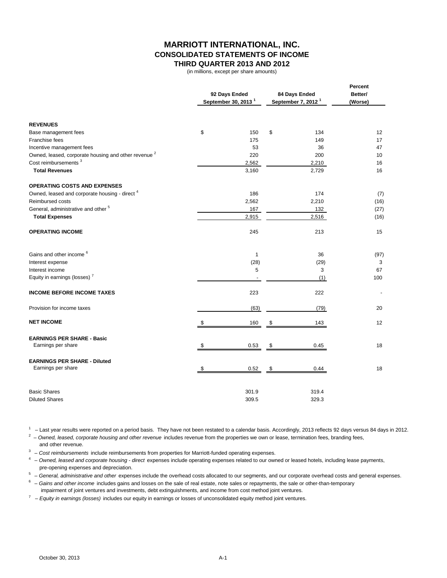# **MARRIOTT INTERNATIONAL, INC. CONSOLIDATED STATEMENTS OF INCOME THIRD QUARTER 2013 AND 2012**

(in millions, except per share amounts)

|                                                                 | 92 Days Ended                   | 84 Days Ended                  | Percent<br>Better/ |
|-----------------------------------------------------------------|---------------------------------|--------------------------------|--------------------|
|                                                                 | September 30, 2013 <sup>1</sup> | September 7, 2012 <sup>1</sup> | (Worse)            |
|                                                                 |                                 |                                |                    |
| <b>REVENUES</b>                                                 |                                 |                                |                    |
| Base management fees                                            | \$<br>150                       | \$<br>134                      | 12                 |
| Franchise fees                                                  | 175                             | 149                            | 17                 |
| Incentive management fees                                       | 53                              | 36                             | 47                 |
| Owned, leased, corporate housing and other revenue <sup>2</sup> | 220                             | 200                            | 10                 |
| Cost reimbursements <sup>3</sup>                                | 2,562                           | 2,210                          | 16                 |
| <b>Total Revenues</b>                                           | 3,160                           | 2,729                          | 16                 |
| <b>OPERATING COSTS AND EXPENSES</b>                             |                                 |                                |                    |
| Owned, leased and corporate housing - direct <sup>4</sup>       | 186                             | 174                            | (7)                |
| <b>Reimbursed costs</b>                                         | 2,562                           | 2,210                          | (16)               |
| General, administrative and other <sup>5</sup>                  | 167                             | 132                            | (27)               |
| <b>Total Expenses</b>                                           | 2,915                           | 2,516                          | (16)               |
| <b>OPERATING INCOME</b>                                         | 245                             | 213                            | 15                 |
| Gains and other income <sup>6</sup>                             | $\mathbf{1}$                    | 36                             | (97)               |
| Interest expense                                                | (28)                            | (29)                           | 3                  |
| Interest income                                                 | 5                               | 3                              | 67                 |
| Equity in earnings (losses) <sup>7</sup>                        |                                 | (1)                            | 100                |
| <b>INCOME BEFORE INCOME TAXES</b>                               | 223                             | 222                            |                    |
| Provision for income taxes                                      | (63)                            | (79)                           | 20                 |
| <b>NET INCOME</b>                                               | 160                             | \$<br>143                      | 12                 |
| <b>EARNINGS PER SHARE - Basic</b>                               |                                 |                                |                    |
| Earnings per share                                              | \$<br>0.53                      | \$<br>0.45                     | 18                 |
| <b>EARNINGS PER SHARE - Diluted</b>                             |                                 |                                |                    |
| Earnings per share                                              | \$<br>0.52                      | \$<br>0.44                     | 18                 |
| <b>Basic Shares</b>                                             | 301.9                           | 319.4                          |                    |
| <b>Diluted Shares</b>                                           | 309.5                           | 329.3                          |                    |

 $1 -$  Last year results were reported on a period basis. They have not been restated to a calendar basis. Accordingly, 2013 reflects 92 days versus 84 days in 2012.

<sup>2</sup> – Owned, leased, corporate housing and other revenue includes revenue from the properties we own or lease, termination fees, branding fees, and other revenue.

<sup>3</sup> – Cost reimbursements include reimbursements from properties for Marriott-funded operating expenses.

4 – *Owned, leased and corporate housing - direct* expenses include operating expenses related to our owned or leased hotels, including lease payments, pre-opening expenses and depreciation.

5 – *General, administrative and other* expenses include the overhead costs allocated to our segments, and our corporate overhead costs and general expenses.

6 – *Gains and other income* includes gains and losses on the sale of real estate, note sales or repayments, the sale or other-than-temporary impairment of joint ventures and investments, debt extinguishments, and income from cost method joint ventures.

7 – *Equity in earnings (losses)* includes our equity in earnings or losses of unconsolidated equity method joint ventures.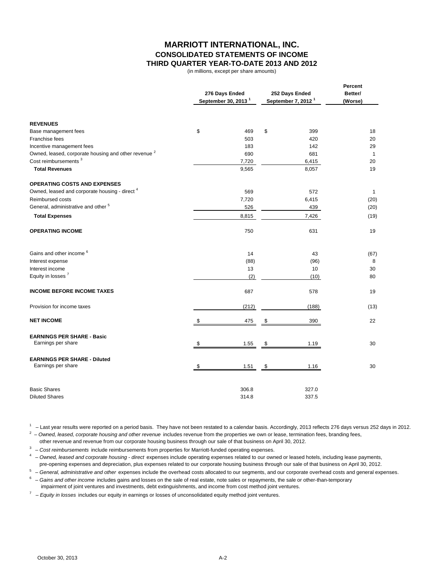## **MARRIOTT INTERNATIONAL, INC. CONSOLIDATED STATEMENTS OF INCOME THIRD QUARTER YEAR-TO-DATE 2013 AND 2012**

(in millions, except per share amounts)

|                                                                 |    | 276 Days Ended<br>September 30, 2013 <sup>1</sup> | 252 Days Ended<br>September 7, 2012 <sup>1</sup> | Percent<br>Better/<br>(Worse) |
|-----------------------------------------------------------------|----|---------------------------------------------------|--------------------------------------------------|-------------------------------|
| <b>REVENUES</b>                                                 |    |                                                   |                                                  |                               |
| Base management fees                                            | \$ | 469                                               | \$<br>399                                        | 18                            |
| Franchise fees                                                  |    | 503                                               | 420                                              | 20                            |
| Incentive management fees                                       |    | 183                                               | 142                                              | 29                            |
| Owned, leased, corporate housing and other revenue <sup>2</sup> |    | 690                                               | 681                                              | 1                             |
| Cost reimbursements <sup>3</sup>                                |    | 7,720                                             | 6,415                                            | 20                            |
| <b>Total Revenues</b>                                           |    | 9,565                                             | 8,057                                            | 19                            |
| <b>OPERATING COSTS AND EXPENSES</b>                             |    |                                                   |                                                  |                               |
| Owned, leased and corporate housing - direct <sup>4</sup>       |    | 569                                               | 572                                              | $\mathbf{1}$                  |
| Reimbursed costs                                                |    | 7,720                                             | 6,415                                            | (20)                          |
| General, administrative and other 5                             |    | 526                                               | 439                                              | (20)                          |
| <b>Total Expenses</b>                                           |    | 8,815                                             | 7,426                                            | (19)                          |
| <b>OPERATING INCOME</b>                                         |    | 750                                               | 631                                              | 19                            |
| Gains and other income <sup>6</sup>                             |    | 14                                                | 43                                               | (67)                          |
| Interest expense                                                |    | (88)                                              | (96)                                             | 8                             |
| Interest income                                                 |    | 13                                                | 10                                               | 30                            |
| Equity in losses <sup>7</sup>                                   |    | (2)                                               | (10)                                             | 80                            |
| <b>INCOME BEFORE INCOME TAXES</b>                               |    | 687                                               | 578                                              | 19                            |
| Provision for income taxes                                      |    | (212)                                             | (188)                                            | (13)                          |
| <b>NET INCOME</b>                                               | S  | 475                                               | \$<br>390                                        | 22                            |
| <b>EARNINGS PER SHARE - Basic</b><br>Earnings per share         | S  |                                                   |                                                  | 30                            |
|                                                                 |    | 1.55                                              | \$<br>1.19                                       |                               |
| <b>EARNINGS PER SHARE - Diluted</b>                             |    |                                                   |                                                  |                               |
| Earnings per share                                              | \$ | 1.51                                              | \$<br>1.16                                       | 30                            |
| <b>Basic Shares</b>                                             |    | 306.8                                             | 327.0                                            |                               |
| <b>Diluted Shares</b>                                           |    | 314.8                                             | 337.5                                            |                               |

 $1 -$  Last year results were reported on a period basis. They have not been restated to a calendar basis. Accordingly, 2013 reflects 276 days versus 252 days in 2012.

<sup>2</sup> – Owned, leased, corporate housing and other revenue includes revenue from the properties we own or lease, termination fees, branding fees,

other revenue and revenue from our corporate housing business through our sale of that business on April 30, 2012.

<sup>3</sup> – Cost reimbursements include reimbursements from properties for Marriott-funded operating expenses.

4 – *Owned, leased and corporate housing - direct* expenses include operating expenses related to our owned or leased hotels, including lease payments, pre-opening expenses and depreciation, plus expenses related to our corporate housing business through our sale of that business on April 30, 2012.

5 – *General, administrative and other* expenses include the overhead costs allocated to our segments, and our corporate overhead costs and general expenses.

6 – *Gains and other income* includes gains and losses on the sale of real estate, note sales or repayments, the sale or other-than-temporary impairment of joint ventures and investments, debt extinguishments, and income from cost method joint ventures.

7 – *Equity in losses* includes our equity in earnings or losses of unconsolidated equity method joint ventures.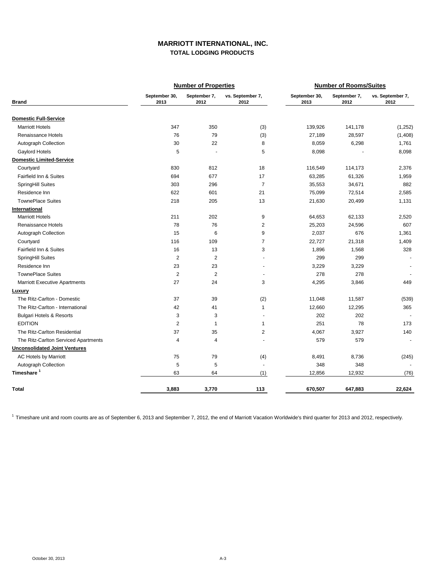### **MARRIOTT INTERNATIONAL, INC. TOTAL LODGING PRODUCTS**

|                                      |                       | <b>Number of Properties</b> |                          | <b>Number of Rooms/Suites</b> |                      |                          |  |  |
|--------------------------------------|-----------------------|-----------------------------|--------------------------|-------------------------------|----------------------|--------------------------|--|--|
| <b>Brand</b>                         | September 30,<br>2013 | September 7,<br>2012        | vs. September 7,<br>2012 | September 30,<br>2013         | September 7,<br>2012 | vs. September 7,<br>2012 |  |  |
| <b>Domestic Full-Service</b>         |                       |                             |                          |                               |                      |                          |  |  |
| <b>Marriott Hotels</b>               | 347                   | 350                         | (3)                      | 139,926                       | 141,178              | (1,252)                  |  |  |
| Renaissance Hotels                   | 76                    | 79                          | (3)                      | 27,189                        | 28,597               | (1,408)                  |  |  |
| Autograph Collection                 | 30                    | 22                          | 8                        | 8,059                         | 6,298                | 1,761                    |  |  |
| Gaylord Hotels                       | 5                     | $\ddot{\phantom{1}}$        | 5                        | 8,098                         |                      | 8,098                    |  |  |
| <b>Domestic Limited-Service</b>      |                       |                             |                          |                               |                      |                          |  |  |
| Courtyard                            | 830                   | 812                         | 18                       | 116,549                       | 114,173              | 2,376                    |  |  |
| Fairfield Inn & Suites               | 694                   | 677                         | 17                       | 63,285                        | 61,326               | 1,959                    |  |  |
| SpringHill Suites                    | 303                   | 296                         | $\overline{7}$           | 35,553                        | 34,671               | 882                      |  |  |
| Residence Inn                        | 622                   | 601                         | 21                       | 75,099                        | 72,514               | 2,585                    |  |  |
| <b>TownePlace Suites</b>             | 218                   | 205                         | 13                       | 21,630                        | 20,499               | 1,131                    |  |  |
| International                        |                       |                             |                          |                               |                      |                          |  |  |
| <b>Marriott Hotels</b>               | 211                   | 202                         | 9                        | 64,653                        | 62,133               | 2,520                    |  |  |
| Renaissance Hotels                   | 78                    | 76                          | $\overline{2}$           | 25,203                        | 24,596               | 607                      |  |  |
| Autograph Collection                 | 15                    | 6                           | 9                        | 2,037                         | 676                  | 1,361                    |  |  |
| Courtyard                            | 116                   | 109                         | $\overline{7}$           | 22,727                        | 21,318               | 1,409                    |  |  |
| Fairfield Inn & Suites               | 16                    | 13                          | 3                        | 1,896                         | 1,568                | 328                      |  |  |
| SpringHill Suites                    | $\overline{c}$        | $\overline{2}$              |                          | 299                           | 299                  | $\overline{\phantom{a}}$ |  |  |
| Residence Inn                        | 23                    | 23                          |                          | 3,229                         | 3,229                |                          |  |  |
| <b>TownePlace Suites</b>             | $\overline{2}$        | $\overline{2}$              |                          | 278                           | 278                  |                          |  |  |
| <b>Marriott Executive Apartments</b> | 27                    | 24                          | 3                        | 4,295                         | 3,846                | 449                      |  |  |
| Luxury                               |                       |                             |                          |                               |                      |                          |  |  |
| The Ritz-Carlton - Domestic          | 37                    | 39                          | (2)                      | 11,048                        | 11,587               | (539)                    |  |  |
| The Ritz-Carlton - International     | 42                    | 41                          | $\mathbf{1}$             | 12,660                        | 12,295               | 365                      |  |  |
| <b>Bulgari Hotels &amp; Resorts</b>  | 3                     | 3                           |                          | 202                           | 202                  |                          |  |  |
| <b>EDITION</b>                       | $\sqrt{2}$            | $\mathbf{1}$                | $\mathbf{1}$             | 251                           | 78                   | 173                      |  |  |
| The Ritz-Carlton Residential         | 37                    | 35                          | $\mathbf 2$              | 4,067                         | 3,927                | 140                      |  |  |
| The Ritz-Carlton Serviced Apartments | $\overline{4}$        | $\overline{4}$              |                          | 579                           | 579                  | $\sim$                   |  |  |
| <b>Unconsolidated Joint Ventures</b> |                       |                             |                          |                               |                      |                          |  |  |
| <b>AC Hotels by Marriott</b>         | 75                    | 79                          | (4)                      | 8,491                         | 8,736                | (245)                    |  |  |
| Autograph Collection                 | $\sqrt{5}$            | 5                           | $\sim$                   | 348                           | 348                  |                          |  |  |
| Timeshare <sup>1</sup>               | 63                    | 64                          | (1)                      | 12,856                        | 12,932               | (76)                     |  |  |
| <b>Total</b>                         | 3,883                 | 3,770                       | 113                      | 670,507                       | 647,883              | 22,624                   |  |  |

<sup>1</sup> Timeshare unit and room counts are as of September 6, 2013 and September 7, 2012, the end of Marriott Vacation Worldwide's third quarter for 2013 and 2012, respectively.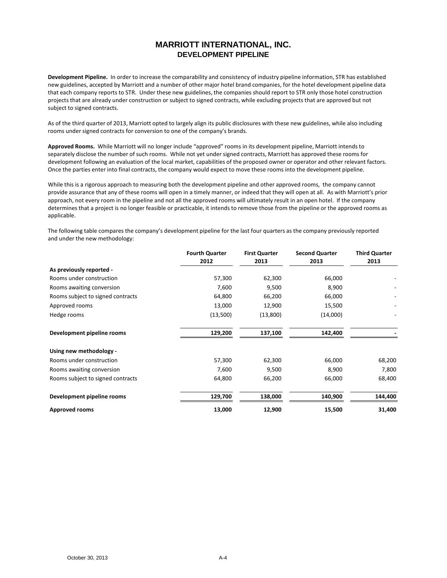# **MARRIOTT INTERNATIONAL, INC. DEVELOPMENT PIPELINE**

**Development Pipeline.** In order to increase the comparability and consistency of industry pipeline information, STR has established new guidelines, accepted by Marriott and a number of other major hotel brand companies, for the hotel development pipeline data that each company reports to STR. Under these new guidelines, the companies should report to STR only those hotel construction projects that are already under construction or subject to signed contracts, while excluding projects that are approved but not subject to signed contracts.

As of the third quarter of 2013, Marriott opted to largely align its public disclosures with these new guidelines, while also including rooms under signed contracts for conversion to one of the company's brands.

**Approved Rooms.** While Marriott will no longer include "approved" rooms in its development pipeline, Marriott intends to separately disclose the number of such rooms. While not yet under signed contracts, Marriott has approved these rooms for development following an evaluation of the local market, capabilities of the proposed owner or operator and other relevant factors. Once the parties enter into final contracts, the company would expect to move these rooms into the development pipeline.

While this is a rigorous approach to measuring both the development pipeline and other approved rooms, the company cannot provide assurance that any of these rooms will open in a timely manner, or indeed that they will open at all. As with Marriott's prior approach, not every room in the pipeline and not all the approved rooms will ultimately result in an open hotel. If the company determines that a project is no longer feasible or practicable, it intends to remove those from the pipeline or the approved rooms as applicable.

The following table compares the company's development pipeline for the last four quarters as the company previously reported and under the new methodology:

|                                   | <b>Fourth Quarter</b> | <b>First Quarter</b> | <b>Second Quarter</b> | <b>Third Quarter</b> |
|-----------------------------------|-----------------------|----------------------|-----------------------|----------------------|
|                                   | 2012                  | 2013                 | 2013                  | 2013                 |
| As previously reported -          |                       |                      |                       |                      |
| Rooms under construction          | 57,300                | 62,300               | 66,000                |                      |
| Rooms awaiting conversion         | 7,600                 | 9,500                | 8,900                 |                      |
| Rooms subject to signed contracts | 64,800                | 66,200               | 66,000                |                      |
| Approved rooms                    | 13,000                | 12,900               | 15,500                |                      |
| Hedge rooms                       | (13,500)              | (13,800)             | (14,000)              |                      |
| Development pipeline rooms        | 129,200               | 137,100              | 142,400               |                      |
| Using new methodology -           |                       |                      |                       |                      |
| Rooms under construction          | 57,300                | 62,300               | 66,000                | 68,200               |
| Rooms awaiting conversion         | 7,600                 | 9,500                | 8,900                 | 7,800                |
| Rooms subject to signed contracts | 64,800                | 66,200               | 66,000                | 68,400               |
| Development pipeline rooms        | 129,700               | 138,000              | 140,900               | 144,400              |
| <b>Approved rooms</b>             | 13,000                | 12,900               | 15,500                | 31,400               |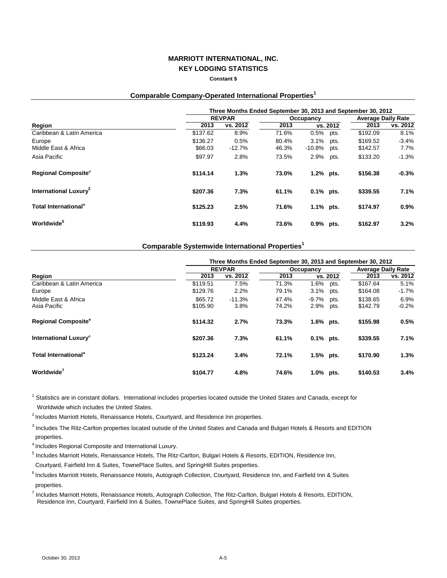#### **Constant \$**

# **Comparable Company-Operated International Properties<sup>1</sup>**

|                                   | Three Months Ended September 30, 2013 and September 30, 2012 |          |       |              |          |          |                           |  |
|-----------------------------------|--------------------------------------------------------------|----------|-------|--------------|----------|----------|---------------------------|--|
|                                   | <b>REVPAR</b>                                                |          |       | Occupancy    |          |          | <b>Average Daily Rate</b> |  |
| Region                            | 2013                                                         | vs. 2012 | 2013  |              | vs. 2012 | 2013     | vs. 2012                  |  |
| Caribbean & Latin America         | \$137.62                                                     | 8.9%     | 71.6% | 0.5%         | pts.     | \$192.09 | 8.1%                      |  |
| Europe                            | \$136.27                                                     | 0.5%     | 80.4% | 3.1%         | pts.     | \$169.52 | $-3.4%$                   |  |
| Middle East & Africa              | \$66.03                                                      | $-12.7%$ | 46.3% | $-10.8%$     | pts.     | \$142.57 | 7.7%                      |  |
| Asia Pacific                      | \$97.97                                                      | 2.8%     | 73.5% | 2.9%         | pts.     | \$133.20 | $-1.3%$                   |  |
| Regional Composite <sup>2</sup>   | \$114.14                                                     | 1.3%     | 73.0% | 1.2% pts.    |          | \$156.38 | $-0.3%$                   |  |
| International Luxury <sup>3</sup> | \$207.36                                                     | 7.3%     | 61.1% | $0.1\%$ pts. |          | \$339.55 | 7.1%                      |  |
| Total International <sup>4</sup>  | \$125.23                                                     | 2.5%     | 71.6% | 1.1% pts.    |          | \$174.97 | 0.9%                      |  |
| Worldwide <sup>5</sup>            | \$119.93                                                     | 4.4%     | 73.6% | $0.9\%$      | pts.     | \$162.97 | 3.2%                      |  |

### **Comparable Systemwide International Properties<sup>1</sup>**

|                                        | Three Months Ended September 30, 2013 and September 30, 2012 |                  |                |                                  |                      |                           |  |
|----------------------------------------|--------------------------------------------------------------|------------------|----------------|----------------------------------|----------------------|---------------------------|--|
|                                        |                                                              | <b>REVPAR</b>    |                | Occupancy                        |                      | <b>Average Daily Rate</b> |  |
| Region                                 | 2013                                                         | vs. 2012         | 2013           | vs. 2012                         | 2013                 | vs. 2012                  |  |
| Caribbean & Latin America<br>Europe    | \$119.51<br>\$129.76                                         | 7.5%<br>2.2%     | 71.3%<br>79.1% | 1.6%<br>pts.<br>3.1%<br>pts.     | \$167.64<br>\$164.08 | 5.1%<br>-1.7%             |  |
| Middle East & Africa<br>Asia Pacific   | \$65.72<br>\$105.90                                          | $-11.3%$<br>3.8% | 47.4%<br>74.2% | $-9.7\%$<br>pts.<br>2.9%<br>pts. | \$138.65<br>\$142.79 | 6.9%<br>$-0.2\%$          |  |
| <b>Regional Composite</b> <sup>°</sup> | \$114.32                                                     | 2.7%             | 73.3%          | $1.6\%$ pts.                     | \$155.98             | 0.5%                      |  |
| International Luxury <sup>3</sup>      | \$207.36                                                     | 7.3%             | 61.1%          | $0.1\%$ pts.                     | \$339.55             | 7.1%                      |  |
| Total International <sup>4</sup>       | \$123.24                                                     | 3.4%             | 72.1%          | 1.5% pts.                        | \$170.90             | 1.3%                      |  |
| Worldwide <sup>'</sup>                 | \$104.77                                                     | 4.8%             | 74.6%          | 1.0% pts.                        | \$140.53             | 3.4%                      |  |

<sup>1</sup> Statistics are in constant dollars. International includes properties located outside the United States and Canada, except for Worldwide which includes the United States.

<sup>2</sup> Includes Marriott Hotels, Renaissance Hotels, Courtyard, and Residence Inn properties.

<sup>3</sup> Includes The Ritz-Carlton properties located outside of the United States and Canada and Bulgari Hotels & Resorts and EDITION properties.

4 Includes Regional Composite and International Luxury.

<sup>5</sup> Includes Marriott Hotels, Renaissance Hotels, The Ritz-Carlton, Bulgari Hotels & Resorts, EDITION, Residence Inn,

Courtyard, Fairfield Inn & Suites, TownePlace Suites, and SpringHill Suites properties.

6 Includes Marriott Hotels, Renaissance Hotels, Autograph Collection, Courtyard, Residence Inn, and Fairfield Inn & Suites properties.

7 Includes Marriott Hotels, Renaissance Hotels, Autograph Collection, The Ritz-Carlton, Bulgari Hotels & Resorts, EDITION, Residence Inn, Courtyard, Fairfield Inn & Suites, TownePlace Suites, and SpringHill Suites properties.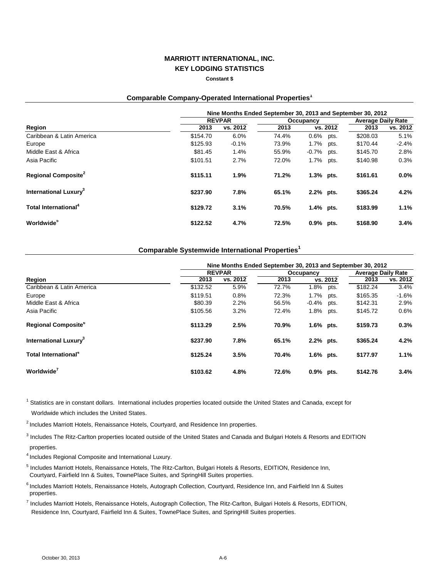**Constant \$**

### **Comparable Company-Operated International Properties<sup>1</sup>**

|                                   | Nine Months Ended September 30, 2013 and September 30, 2012 |               |           |              |          |                           |          |  |
|-----------------------------------|-------------------------------------------------------------|---------------|-----------|--------------|----------|---------------------------|----------|--|
|                                   |                                                             | <b>REVPAR</b> | Occupancy |              |          | <b>Average Daily Rate</b> |          |  |
| Region                            | 2013                                                        | vs. 2012      | 2013      |              | vs. 2012 | 2013                      | vs. 2012 |  |
| Caribbean & Latin America         | \$154.70                                                    | 6.0%          | 74.4%     | $0.6\%$ pts. |          | \$208.03                  | 5.1%     |  |
| Europe                            | \$125.93                                                    | $-0.1%$       | 73.9%     | 1.7%         | pts.     | \$170.44                  | $-2.4%$  |  |
| Middle East & Africa              | \$81.45                                                     | 1.4%          | 55.9%     | -0.7%        | pts.     | \$145.70                  | 2.8%     |  |
| Asia Pacific                      | \$101.51                                                    | 2.7%          | 72.0%     | 1.7%         | pts.     | \$140.98                  | 0.3%     |  |
| Regional Composite <sup>2</sup>   | \$115.11                                                    | 1.9%          | 71.2%     | $1.3\%$ pts. |          | \$161.61                  | $0.0\%$  |  |
| International Luxury <sup>3</sup> | \$237.90                                                    | 7.8%          | 65.1%     | 2.2% pts.    |          | \$365.24                  | 4.2%     |  |
| Total International <sup>4</sup>  | \$129.72                                                    | 3.1%          | 70.5%     | 1.4% pts.    |          | \$183.99                  | $1.1\%$  |  |
| <b>Worldwide</b> <sup>5</sup>     | \$122.52                                                    | 4.7%          | 72.5%     | $0.9%$ pts.  |          | \$168.90                  | 3.4%     |  |

### **Comparable Systemwide International Properties<sup>1</sup>**

|                                        |          | Nine Months Ended September 30, 2013 and September 30, 2012 |       |                  |                           |          |  |  |  |
|----------------------------------------|----------|-------------------------------------------------------------|-------|------------------|---------------------------|----------|--|--|--|
|                                        |          | <b>REVPAR</b>                                               |       | Occupancy        | <b>Average Daily Rate</b> |          |  |  |  |
| Region                                 | 2013     | vs. 2012                                                    | 2013  | vs. 2012         | 2013                      | vs. 2012 |  |  |  |
| Caribbean & Latin America              | \$132.52 | 5.9%                                                        | 72.7% | 1.8%<br>pts.     | \$182.24                  | 3.4%     |  |  |  |
| Europe                                 | \$119.51 | 0.8%                                                        | 72.3% | 1.7%<br>pts.     | \$165.35                  | $-1.6%$  |  |  |  |
| Middle East & Africa                   | \$80.39  | 2.2%                                                        | 56.5% | $-0.4\%$<br>pts. | \$142.31                  | 2.9%     |  |  |  |
| Asia Pacific                           | \$105.56 | 3.2%                                                        | 72.4% | $1.8\%$<br>pts.  | \$145.72                  | 0.6%     |  |  |  |
| <b>Regional Composite</b> <sup>6</sup> | \$113.29 | 2.5%                                                        | 70.9% | $1.6\%$ pts.     | \$159.73                  | 0.3%     |  |  |  |
| International Luxury <sup>3</sup>      | \$237.90 | 7.8%                                                        | 65.1% | 2.2% pts.        | \$365.24                  | 4.2%     |  |  |  |
| Total International <sup>4</sup>       | \$125.24 | 3.5%                                                        | 70.4% | $1.6\%$ pts.     | \$177.97                  | 1.1%     |  |  |  |
| Worldwide <sup>7</sup>                 | \$103.62 | 4.8%                                                        | 72.6% | 0.9% pts.        | \$142.76                  | 3.4%     |  |  |  |

<sup>1</sup> Statistics are in constant dollars. International includes properties located outside the United States and Canada, except for Worldwide which includes the United States.

<sup>2</sup> Includes Marriott Hotels, Renaissance Hotels, Courtyard, and Residence Inn properties.

<sup>3</sup> Includes The Ritz-Carlton properties located outside of the United States and Canada and Bulgari Hotels & Resorts and EDITION properties.

4 Includes Regional Composite and International Luxury.

<sup>5</sup> Includes Marriott Hotels, Renaissance Hotels, The Ritz-Carlton, Bulgari Hotels & Resorts, EDITION, Residence Inn, Courtyard, Fairfield Inn & Suites, TownePlace Suites, and SpringHill Suites properties.

<sup>6</sup> Includes Marriott Hotels, Renaissance Hotels, Autograph Collection, Courtyard, Residence Inn, and Fairfield Inn & Suites properties.

7 Includes Marriott Hotels, Renaissance Hotels, Autograph Collection, The Ritz-Carlton, Bulgari Hotels & Resorts, EDITION, Residence Inn, Courtyard, Fairfield Inn & Suites, TownePlace Suites, and SpringHill Suites properties.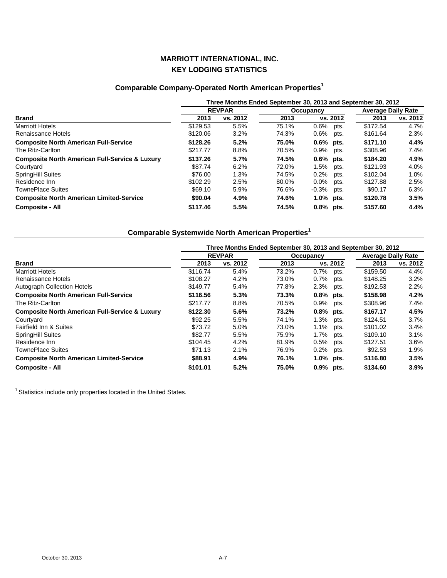# **Comparable Company-Operated North American Properties<sup>1</sup>**

|                                                           | Three Months Ended September 30, 2013 and September 30, 2012 |          |       |                  |          |                           |  |  |
|-----------------------------------------------------------|--------------------------------------------------------------|----------|-------|------------------|----------|---------------------------|--|--|
|                                                           | <b>REVPAR</b>                                                |          |       | Occupancy        |          | <b>Average Daily Rate</b> |  |  |
| <b>Brand</b>                                              | 2013                                                         | vs. 2012 | 2013  | vs. 2012         | 2013     | vs. 2012                  |  |  |
| <b>Marriott Hotels</b>                                    | \$129.53                                                     | 5.5%     | 75.1% | $0.6\%$<br>pts.  | \$172.54 | 4.7%                      |  |  |
| Renaissance Hotels                                        | \$120.06                                                     | 3.2%     | 74.3% | $0.6\%$<br>pts.  | \$161.64 | 2.3%                      |  |  |
| <b>Composite North American Full-Service</b>              | \$128.26                                                     | 5.2%     | 75.0% | $0.6\%$ pts.     | \$171.10 | 4.4%                      |  |  |
| The Ritz-Carlton                                          | \$217.77                                                     | 8.8%     | 70.5% | $0.9\%$<br>pts.  | \$308.96 | 7.4%                      |  |  |
| <b>Composite North American Full-Service &amp; Luxury</b> | \$137.26                                                     | 5.7%     | 74.5% | $0.6\%$ pts.     | \$184.20 | 4.9%                      |  |  |
| Courtyard                                                 | \$87.74                                                      | 6.2%     | 72.0% | 1.5% pts.        | \$121.93 | 4.0%                      |  |  |
| <b>SpringHill Suites</b>                                  | \$76.00                                                      | 1.3%     | 74.5% | $0.2\%$<br>pts.  | \$102.04 | $1.0\%$                   |  |  |
| Residence Inn                                             | \$102.29                                                     | 2.5%     | 80.0% | $0.0\%$<br>pts.  | \$127.88 | 2.5%                      |  |  |
| <b>TownePlace Suites</b>                                  | \$69.10                                                      | 5.9%     | 76.6% | $-0.3\%$<br>pts. | \$90.17  | 6.3%                      |  |  |
| <b>Composite North American Limited-Service</b>           | \$90.04                                                      | 4.9%     | 74.6% | $1.0\%$ pts.     | \$120.78 | 3.5%                      |  |  |
| <b>Composite - All</b>                                    | \$117.46                                                     | 5.5%     | 74.5% | $0.8\%$ pts.     | \$157.60 | 4.4%                      |  |  |

# **Comparable Systemwide North American Properties<sup>1</sup>**

|                                                           | Three Months Ended September 30, 2013 and September 30, 2012 |          |       |                 |          |                           |  |  |
|-----------------------------------------------------------|--------------------------------------------------------------|----------|-------|-----------------|----------|---------------------------|--|--|
|                                                           | <b>REVPAR</b>                                                |          |       | Occupancy       |          | <b>Average Daily Rate</b> |  |  |
| <b>Brand</b>                                              | 2013                                                         | vs. 2012 | 2013  | vs. 2012        | 2013     | vs. 2012                  |  |  |
| <b>Marriott Hotels</b>                                    | \$116.74                                                     | 5.4%     | 73.2% | $0.7\%$<br>pts. | \$159.50 | 4.4%                      |  |  |
| Renaissance Hotels                                        | \$108.27                                                     | 4.2%     | 73.0% | 0.7%<br>pts.    | \$148.25 | 3.2%                      |  |  |
| <b>Autograph Collection Hotels</b>                        | \$149.77                                                     | 5.4%     | 77.8% | 2.3%<br>pts.    | \$192.53 | 2.2%                      |  |  |
| <b>Composite North American Full-Service</b>              | \$116.56                                                     | 5.3%     | 73.3% | 0.8% pts.       | \$158.98 | 4.2%                      |  |  |
| The Ritz-Carlton                                          | \$217.77                                                     | 8.8%     | 70.5% | $0.9\%$<br>pts. | \$308.96 | 7.4%                      |  |  |
| <b>Composite North American Full-Service &amp; Luxury</b> | \$122.30                                                     | 5.6%     | 73.2% | $0.8\%$ pts.    | \$167.17 | 4.5%                      |  |  |
| Courtyard                                                 | \$92.25                                                      | 5.5%     | 74.1% | 1.3%<br>pts.    | \$124.51 | 3.7%                      |  |  |
| Fairfield Inn & Suites                                    | \$73.72                                                      | 5.0%     | 73.0% | 1.1%<br>pts.    | \$101.02 | $3.4\%$                   |  |  |
| <b>SpringHill Suites</b>                                  | \$82.77                                                      | 5.5%     | 75.9% | 1.7%<br>pts.    | \$109.10 | 3.1%                      |  |  |
| Residence Inn                                             | \$104.45                                                     | 4.2%     | 81.9% | 0.5%<br>pts.    | \$127.51 | $3.6\%$                   |  |  |
| <b>TownePlace Suites</b>                                  | \$71.13                                                      | 2.1%     | 76.9% | $0.2\%$<br>pts. | \$92.53  | 1.9%                      |  |  |
| <b>Composite North American Limited-Service</b>           | \$88.91                                                      | 4.9%     | 76.1% | 1.0% pts.       | \$116.80 | 3.5%                      |  |  |
| <b>Composite - All</b>                                    | \$101.01                                                     | 5.2%     | 75.0% | $0.9\%$ pts.    | \$134.60 | 3.9%                      |  |  |

<sup>1</sup> Statistics include only properties located in the United States.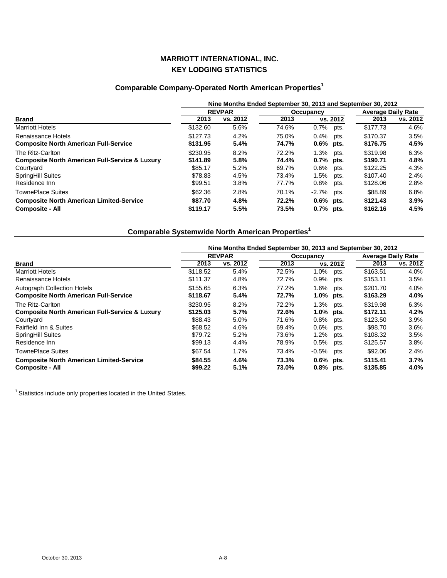# **Comparable Company-Operated North American Properties<sup>1</sup>**

|                                                           | Nine Months Ended September 30, 2013 and September 30, 2012 |               |       |                  |      |          |                           |  |
|-----------------------------------------------------------|-------------------------------------------------------------|---------------|-------|------------------|------|----------|---------------------------|--|
|                                                           |                                                             | <b>REVPAR</b> |       | <b>Occupancy</b> |      |          | <b>Average Daily Rate</b> |  |
| Brand                                                     | 2013                                                        | vs. 2012      | 2013  | vs. 2012         |      | 2013     | vs. 2012                  |  |
| <b>Marriott Hotels</b>                                    | \$132.60                                                    | 5.6%          | 74.6% | $0.7%$ pts.      |      | \$177.73 | 4.6%                      |  |
| Renaissance Hotels                                        | \$127.73                                                    | 4.2%          | 75.0% | $0.4\%$          | pts. | \$170.37 | 3.5%                      |  |
| <b>Composite North American Full-Service</b>              | \$131.95                                                    | 5.4%          | 74.7% | $0.6\%$ pts.     |      | \$176.75 | 4.5%                      |  |
| The Ritz-Carlton                                          | \$230.95                                                    | 8.2%          | 72.2% | $1.3\%$          | pts. | \$319.98 | 6.3%                      |  |
| <b>Composite North American Full-Service &amp; Luxury</b> | \$141.89                                                    | 5.8%          | 74.4% | $0.7\%$ pts.     |      | \$190.71 | 4.8%                      |  |
| Courtyard                                                 | \$85.17                                                     | 5.2%          | 69.7% | $0.6\%$          | pts. | \$122.25 | 4.3%                      |  |
| <b>SpringHill Suites</b>                                  | \$78.83                                                     | 4.5%          | 73.4% | 1.5%             | pts. | \$107.40 | 2.4%                      |  |
| Residence Inn                                             | \$99.51                                                     | 3.8%          | 77.7% | $0.8\%$          | pts. | \$128.06 | 2.8%                      |  |
| <b>TownePlace Suites</b>                                  | \$62.36                                                     | 2.8%          | 70.1% | $-2.7%$ pts.     |      | \$88.89  | 6.8%                      |  |
| <b>Composite North American Limited-Service</b>           | \$87.70                                                     | 4.8%          | 72.2% | $0.6\%$ pts.     |      | \$121.43 | 3.9%                      |  |
| <b>Composite - All</b>                                    | \$119.17                                                    | 5.5%          | 73.5% | $0.7%$ pts.      |      | \$162.16 | 4.5%                      |  |

# **Comparable Systemwide North American Properties<sup>1</sup>**

|                                                           | Nine Months Ended September 30, 2013 and September 30, 2012 |          |           |              |          |                           |          |  |  |
|-----------------------------------------------------------|-------------------------------------------------------------|----------|-----------|--------------|----------|---------------------------|----------|--|--|
|                                                           | <b>REVPAR</b>                                               |          | Occupancy |              |          | <b>Average Daily Rate</b> |          |  |  |
| <b>Brand</b>                                              | 2013                                                        | vs. 2012 | 2013      |              | vs. 2012 | 2013                      | vs. 2012 |  |  |
| <b>Marriott Hotels</b>                                    | \$118.52                                                    | 5.4%     | 72.5%     | 1.0%         | pts.     | \$163.51                  | 4.0%     |  |  |
| Renaissance Hotels                                        | \$111.37                                                    | 4.8%     | 72.7%     | 0.9%         | pts.     | \$153.11                  | 3.5%     |  |  |
| <b>Autograph Collection Hotels</b>                        | \$155.65                                                    | 6.3%     | 77.2%     | 1.6%         | pts.     | \$201.70                  | 4.0%     |  |  |
| <b>Composite North American Full-Service</b>              | \$118.67                                                    | 5.4%     | 72.7%     | $1.0\%$ pts. |          | \$163.29                  | 4.0%     |  |  |
| The Ritz-Carlton                                          | \$230.95                                                    | 8.2%     | 72.2%     | 1.3%         | pts.     | \$319.98                  | 6.3%     |  |  |
| <b>Composite North American Full-Service &amp; Luxury</b> | \$125.03                                                    | 5.7%     | 72.6%     | $1.0\%$ pts. |          | \$172.11                  | 4.2%     |  |  |
| Courtyard                                                 | \$88.43                                                     | 5.0%     | 71.6%     | 0.8%         | pts.     | \$123.50                  | 3.9%     |  |  |
| Fairfield Inn & Suites                                    | \$68.52                                                     | 4.6%     | 69.4%     | 0.6%         | pts.     | \$98.70                   | 3.6%     |  |  |
| <b>SpringHill Suites</b>                                  | \$79.72                                                     | 5.2%     | 73.6%     | 1.2%         | pts.     | \$108.32                  | 3.5%     |  |  |
| Residence Inn                                             | \$99.13                                                     | 4.4%     | 78.9%     | 0.5%         | pts.     | \$125.57                  | $3.8\%$  |  |  |
| <b>TownePlace Suites</b>                                  | \$67.54                                                     | 1.7%     | 73.4%     | $-0.5\%$     | pts.     | \$92.06                   | 2.4%     |  |  |
| <b>Composite North American Limited-Service</b>           | \$84.55                                                     | 4.6%     | 73.3%     | $0.6\%$ pts. |          | \$115.41                  | 3.7%     |  |  |
| <b>Composite - All</b>                                    | \$99.22                                                     | 5.1%     | 73.0%     | $0.8\%$ pts. |          | \$135.85                  | 4.0%     |  |  |

<sup>1</sup> Statistics include only properties located in the United States.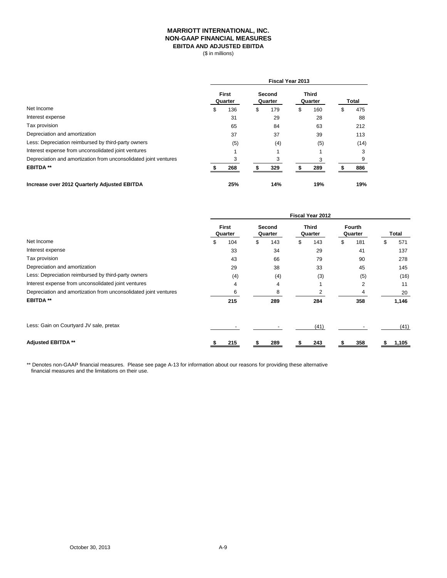### **MARRIOTT INTERNATIONAL, INC. NON-GAAP FINANCIAL MEASURES EBITDA AND ADJUSTED EBITDA**

(\$ in millions)

|                                                                  | Fiscal Year 2013        |     |                   |     |                         |     |   |       |  |
|------------------------------------------------------------------|-------------------------|-----|-------------------|-----|-------------------------|-----|---|-------|--|
|                                                                  | <b>First</b><br>Quarter |     | Second<br>Quarter |     | <b>Third</b><br>Quarter |     |   | Total |  |
| Net Income                                                       | \$                      | 136 | \$                | 179 | \$                      | 160 | S | 475   |  |
| Interest expense                                                 |                         | 31  |                   | 29  |                         | 28  |   | 88    |  |
| Tax provision                                                    |                         | 65  |                   | 84  |                         | 63  |   | 212   |  |
| Depreciation and amortization                                    |                         | 37  |                   | 37  |                         | 39  |   | 113   |  |
| Less: Depreciation reimbursed by third-party owners              |                         | (5) |                   | (4) |                         | (5) |   | (14)  |  |
| Interest expense from unconsolidated joint ventures              |                         |     |                   |     |                         |     |   | 3     |  |
| Depreciation and amortization from unconsolidated joint ventures |                         |     |                   | 3   |                         | 3   |   | 9     |  |
| <b>EBITDA**</b>                                                  |                         | 268 |                   | 329 |                         | 289 |   | 886   |  |
| Increase over 2012 Quarterly Adjusted EBITDA                     |                         | 25% |                   | 14% |                         | 19% |   | 19%   |  |

|                                                                  | Fiscal Year 2012 |                         |    |                   |    |                         |    |                   |    |       |
|------------------------------------------------------------------|------------------|-------------------------|----|-------------------|----|-------------------------|----|-------------------|----|-------|
|                                                                  |                  | <b>First</b><br>Quarter |    | Second<br>Quarter |    | <b>Third</b><br>Quarter |    | Fourth<br>Quarter |    | Total |
| Net Income                                                       | \$               | 104                     | \$ | 143               | \$ | 143                     | \$ | 181               | \$ | 571   |
| Interest expense                                                 |                  | 33                      |    | 34                |    | 29                      |    | 41                |    | 137   |
| Tax provision                                                    |                  | 43                      |    | 66                |    | 79                      |    | 90                |    | 278   |
| Depreciation and amortization                                    |                  | 29                      |    | 38                |    | 33                      |    | 45                |    | 145   |
| Less: Depreciation reimbursed by third-party owners              |                  | (4)                     |    | (4)               |    | (3)                     |    | (5)               |    | (16)  |
| Interest expense from unconsolidated joint ventures              |                  | 4                       |    | 4                 |    |                         |    | $\overline{2}$    |    | 11    |
| Depreciation and amortization from unconsolidated joint ventures |                  | 6                       |    | 8                 |    | $\overline{2}$          |    | 4                 |    | 20    |
| <b>EBITDA**</b>                                                  |                  | 215                     |    | 289               |    | 284                     |    | 358               |    | 1,146 |
| Less: Gain on Courtyard JV sale, pretax                          |                  |                         |    |                   |    | (41)                    |    |                   |    | (41)  |
| <b>Adjusted EBITDA **</b>                                        |                  | 215                     |    | 289               |    | 243                     |    | 358               |    | 1,105 |

\*\* Denotes non-GAAP financial measures. Please see page A-13 for information about our reasons for providing these alternative financial measures and the limitations on their use.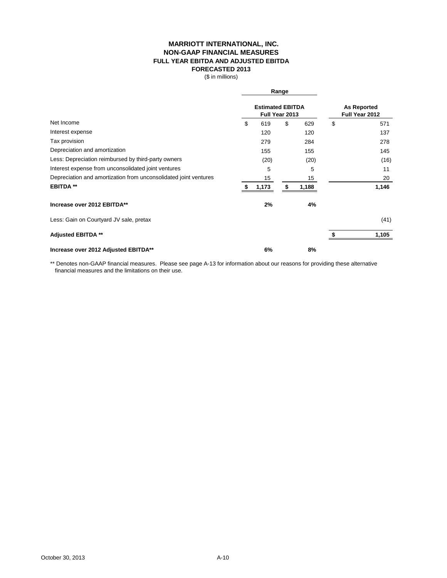### **MARRIOTT INTERNATIONAL, INC. NON-GAAP FINANCIAL MEASURES FULL YEAR EBITDA AND ADJUSTED EBITDA FORECASTED 2013**

(\$ in millions)

|                                                                  |                                           | Range |                                      |    |       |
|------------------------------------------------------------------|-------------------------------------------|-------|--------------------------------------|----|-------|
|                                                                  | <b>Estimated EBITDA</b><br>Full Year 2013 |       | <b>As Reported</b><br>Full Year 2012 |    |       |
| Net Income                                                       | \$<br>619                                 | \$    | 629                                  | \$ | 571   |
| Interest expense                                                 | 120                                       |       | 120                                  |    | 137   |
| Tax provision                                                    | 279                                       |       | 284                                  |    | 278   |
| Depreciation and amortization                                    | 155                                       |       | 155                                  |    | 145   |
| Less: Depreciation reimbursed by third-party owners              | (20)                                      |       | (20)                                 |    | (16)  |
| Interest expense from unconsolidated joint ventures              | 5                                         |       | 5                                    |    | 11    |
| Depreciation and amortization from unconsolidated joint ventures | 15                                        |       | 15                                   |    | 20    |
| <b>EBITDA**</b>                                                  | 1,173                                     | S     | 1,188                                |    | 1,146 |
| Increase over 2012 EBITDA**                                      | 2%                                        |       | 4%                                   |    |       |
| Less: Gain on Courtyard JV sale, pretax                          |                                           |       |                                      |    | (41)  |
| <b>Adjusted EBITDA **</b>                                        |                                           |       |                                      |    | 1,105 |
| Increase over 2012 Adjusted EBITDA**                             | 6%                                        |       | 8%                                   |    |       |

\*\* Denotes non-GAAP financial measures. Please see page A-13 for information about our reasons for providing these alternative financial measures and the limitations on their use.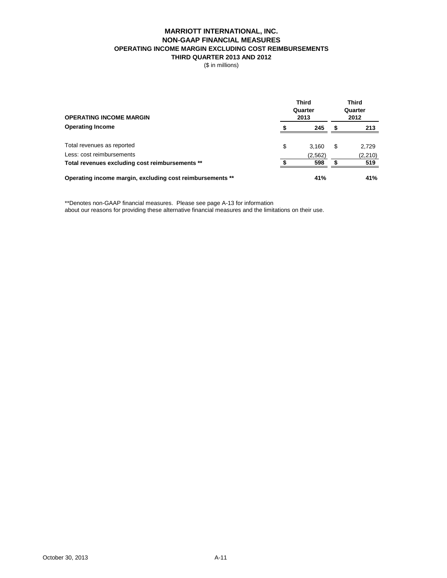### **MARRIOTT INTERNATIONAL, INC. NON-GAAP FINANCIAL MEASURES OPERATING INCOME MARGIN EXCLUDING COST REIMBURSEMENTS THIRD QUARTER 2013 AND 2012**

(\$ in millions)

| <b>OPERATING INCOME MARGIN</b>                            | Third<br>Quarter<br>2013 | <b>Third</b><br>Quarter<br>2012 |   |          |
|-----------------------------------------------------------|--------------------------|---------------------------------|---|----------|
| <b>Operating Income</b>                                   |                          | 245                             |   | 213      |
| Total revenues as reported                                | \$                       | 3.160                           | S | 2,729    |
| Less: cost reimbursements                                 |                          | (2, 562)                        |   | (2, 210) |
| Total revenues excluding cost reimbursements **           |                          | 598                             |   | 519      |
| Operating income margin, excluding cost reimbursements ** |                          | 41%                             |   | 41%      |

\*\*Denotes non-GAAP financial measures. Please see page A-13 for information about our reasons for providing these alternative financial measures and the limitations on their use.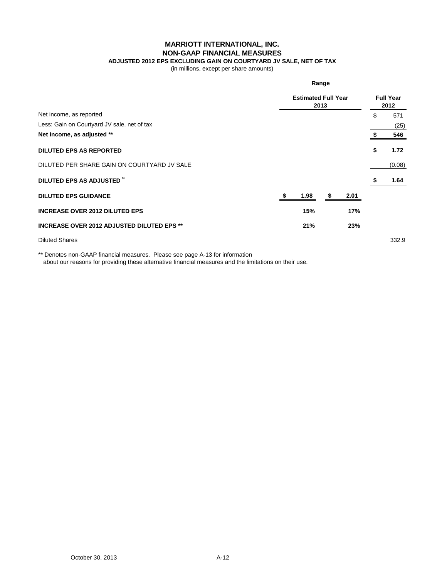**MARRIOTT INTERNATIONAL, INC.**

### **NON-GAAP FINANCIAL MEASURES**

# **ADJUSTED 2012 EPS EXCLUDING GAIN ON COURTYARD JV SALE, NET OF TAX**

(in millions, except per share amounts)

|                                                   |  | Range<br><b>Estimated Full Year</b><br>2013 |  |      |    |        |  |
|---------------------------------------------------|--|---------------------------------------------|--|------|----|--------|--|
|                                                   |  |                                             |  |      |    |        |  |
| Net income, as reported                           |  |                                             |  |      | \$ | 571    |  |
| Less: Gain on Courtyard JV sale, net of tax       |  |                                             |  |      |    | (25)   |  |
| Net income, as adjusted **                        |  |                                             |  |      |    | 546    |  |
| <b>DILUTED EPS AS REPORTED</b>                    |  |                                             |  |      | \$ | 1.72   |  |
| DILUTED PER SHARE GAIN ON COURTYARD JV SALE       |  |                                             |  |      |    | (0.08) |  |
| DILUTED EPS AS ADJUSTED                           |  |                                             |  |      |    | 1.64   |  |
| <b>DILUTED EPS GUIDANCE</b>                       |  | 1.98                                        |  | 2.01 |    |        |  |
| <b>INCREASE OVER 2012 DILUTED EPS</b>             |  | 15%                                         |  | 17%  |    |        |  |
| <b>INCREASE OVER 2012 ADJUSTED DILUTED EPS **</b> |  | 21%                                         |  | 23%  |    |        |  |
| <b>Diluted Shares</b>                             |  |                                             |  |      |    | 332.9  |  |

\*\* Denotes non-GAAP financial measures. Please see page A-13 for information about our reasons for providing these alternative financial measures and the limitations on their use.